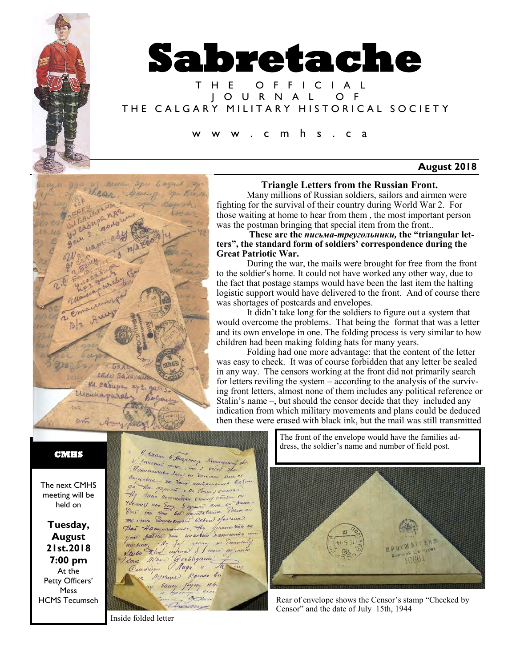

# **Sabretache**

T H E O F F I C I A L J O U R N A L O F THE CALGARY MILITARY HISTORICAL SOCIETY

#### c m h s . c a

#### **August 2018**



#### **Triangle Letters from the Russian Front.**

Many millions of Russian soldiers, sailors and airmen were fighting for the survival of their country during World War 2. For those waiting at home to hear from them , the most important person was the postman bringing that special item from the front..

**These are the** *письма-треугольники,* **the "triangular letters", the standard form of soldiers' correspondence during the Great Patriotic War.** 

During the war, the mails were brought for free from the front to the soldier's home. It could not have worked any other way, due to the fact that postage stamps would have been the last item the halting logistic support would have delivered to the front. And of course there was shortages of postcards and envelopes.

It didn't take long for the soldiers to figure out a system that would overcome the problems. That being the format that was a letter and its own envelope in one. The folding process is very similar to how children had been making folding hats for many years.

Folding had one more advantage: that the content of the letter was easy to check. It was of course forbidden that any letter be sealed in any way. The censors working at the front did not primarily search for letters reviling the system – according to the analysis of the surviving front letters, almost none of them includes any political reference or Stalin's name –, but should the censor decide that they included any indication from which military movements and plans could be deduced then these were erased with black ink, but the mail was still transmitted

#### **CMHS**

The next CMHS meeting will be held on

**Tuesday, August 21st.2018 7:00 pm** At the Petty Officers' **Mess** HCMS Tecumseh

4 cacine 6 Hagomer Remement de V Jancour & Hagoner Raumennes de Omarchua, ve Donna necipiensumo su Ha por une necessariane Basic Nouncemeren Common Comesus On Therefore the same of the common state Sique. 04 We occup Elementations Octour ofensum. Asi Hamycausucción, Hy quano via or Une Sarvio You nuachea nanvección yne gaem ma maceus name Quesuion Augu " 2 Mercuse Repense ba Causey pyroy sele  $rac{2}{\sqrt{2}}$ 

The front of the envelope would have the families address, the soldier's name and number of field post.



Rear of envelope shows the Censor's stamp "Checked by Censor" and the date of July 15th, 1944

Inside folded letter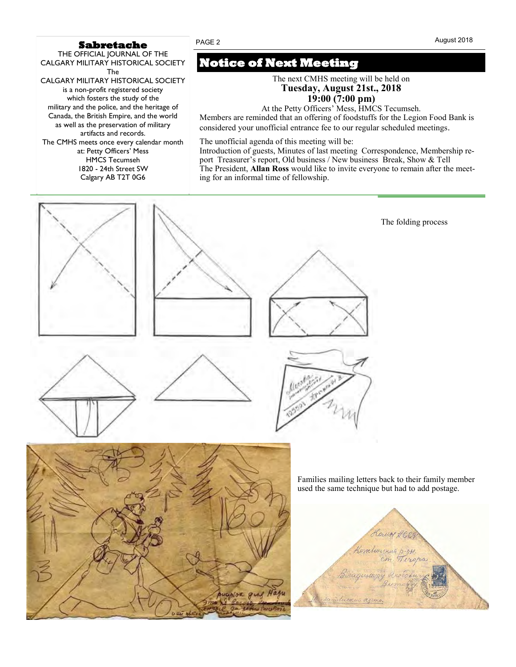#### **Sabretache**

THE OFFICIAL JOURNAL OF THE CALGARY MILITARY HISTORICAL SOCIETY The CALGARY MILITARY HISTORICAL SOCIETY is a non-profit registered society which fosters the study of the military and the police, and the heritage of Canada, the British Empire, and the world as well as the preservation of military artifacts and records. The CMHS meets once every calendar month at: Petty Officers' Mess HMCS Tecumseh 1820 - 24th Street SW Calgary AB T2T 0G6

## **Notice of Next Meeting**

The next CMHS meeting will be held on **Tuesday, August 21st., 2018 19:00 (7:00 pm)**

At the Petty Officers' Mess, HMCS Tecumseh.

Members are reminded that an offering of foodstuffs for the Legion Food Bank is considered your unofficial entrance fee to our regular scheduled meetings*.*

The unofficial agenda of this meeting will be:

Introduction of guests, Minutes of last meeting Correspondence, Membership report Treasurer's report, Old business / New business Break, Show & Tell The President, **Allan Ross** would like to invite everyone to remain after the meeting for an informal time of fellowship.

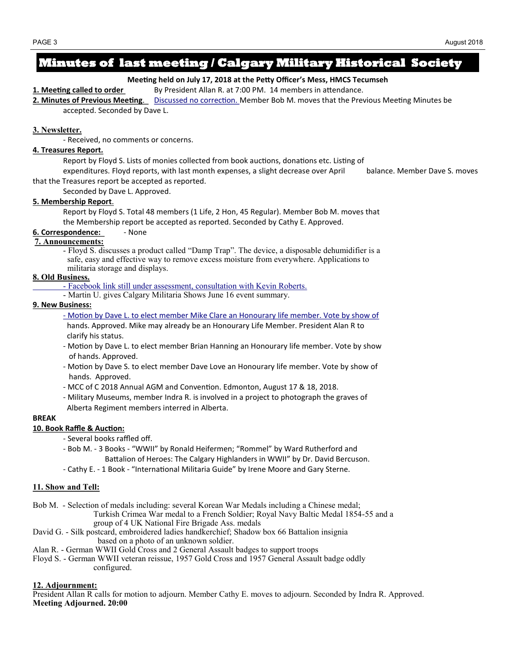## **Minutes of last meeting / Calgary Military Historical Society**

#### **Meeting held on July 17, 2018 at the Petty Officer's Mess, HMCS Tecumseh**

**1. Meeting called to order** By President Allan R. at 7:00 PM. 14 members in attendance.

**2. Minutes of Previous Meeting**. Discussed no correction. Member Bob M. moves that the Previous Meeting Minutes be accepted. Seconded by Dave L.

#### **3. Newsletter.**

- Received, no comments or concerns.

#### **4. Treasures Report***.*

Report by Floyd S. Lists of monies collected from book auctions, donations etc. Listing of

expenditures. Floyd reports, with last month expenses, a slight decrease over April balance. Member Dave S. moves that the Treasures report be accepted as reported.

Seconded by Dave L. Approved.

#### **5. Membership Report**.

Report by Floyd S. Total 48 members (1 Life, 2 Hon, 45 Regular). Member Bob M. moves that the Membership report be accepted as reported. Seconded by Cathy E. Approved.

#### **6. Correspondence:** - None

#### **7. Announcements:**

- Floyd S. discusses a product called "Damp Trap". The device, a disposable dehumidifier is a safe, easy and effective way to remove excess moisture from everywhere. Applications to militaria storage and displays.

#### **8. Old Business.**

- Facebook link still under assessment, consultation with Kevin Roberts.

- Martin U. gives Calgary Militaria Shows June 16 event summary.

#### **9. New Business:**

- Motion by Dave L. to elect member Mike Clare an Honourary life member. Vote by show of

 hands. Approved. Mike may already be an Honourary Life Member. President Alan R to clarify his status.

- Motion by Dave L. to elect member Brian Hanning an Honourary life member. Vote by show of hands. Approved.
- Motion by Dave S. to elect member Dave Love an Honourary life member. Vote by show of hands. Approved.
- MCC of C 2018 Annual AGM and Convention. Edmonton, August 17 & 18, 2018.
- Military Museums, member Indra R. is involved in a project to photograph the graves of Alberta Regiment members interred in Alberta.

#### **BREAK**

#### **10. Book Raffle & Auction:**

- Several books raffled off.
- Bob M. 3 Books "WWII" by Ronald Heifermen; "Rommel" by Ward Rutherford and Battalion of Heroes: The Calgary Highlanders in WWII" by Dr. David Bercuson.
- Cathy E. 1 Book "International Militaria Guide" by Irene Moore and Gary Sterne.

#### **11. Show and Tell:**

- Bob M. Selection of medals including: several Korean War Medals including a Chinese medal; Turkish Crimea War medal to a French Soldier; Royal Navy Baltic Medal 1854-55 and a group of 4 UK National Fire Brigade Ass. medals
- David G. Silk postcard, embroidered ladies handkerchief; Shadow box 66 Battalion insignia based on a photo of an unknown soldier.
- Alan R. German WWII Gold Cross and 2 General Assault badges to support troops
- Floyd S. German WWII veteran reissue, 1957 Gold Cross and 1957 General Assault badge oddly configured.

#### **12. Adjournment:**

President Allan R calls for motion to adjourn. Member Cathy E. moves to adjourn. Seconded by Indra R. Approved. **Meeting Adjourned. 20:00**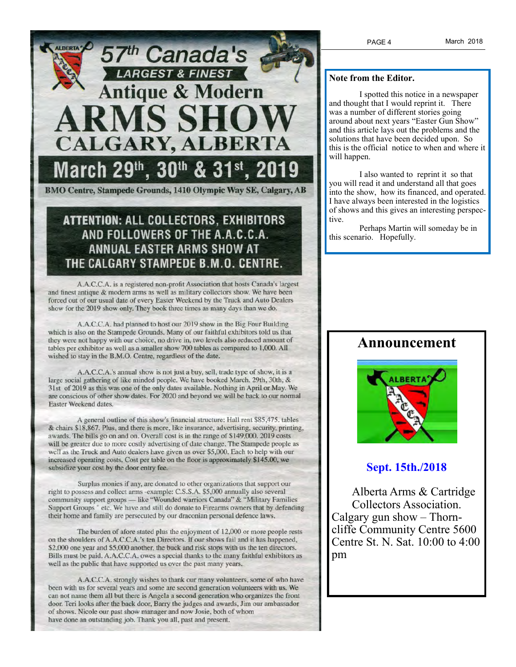

## **ATTENTION: ALL COLLECTORS, EXHIBITORS** AND FOLLOWERS OF THE A.A.C.C.A. **ANNUAL EASTER ARMS SHOW AT** THE CALGARY STAMPEDE B.M.O. CENTRE.

A.A.C.C.A. is a registered non-profit Association that hosts Canada's largest and finest antique & modern arms as well as military collectors show. We have been forced out of our usual date of every Easter Weekend by the Truck and Auto Dealers show for the 2019 show only. They book three times as many days than we do.

A.A.C.C.A. had planned to host our 2019 show in the Big Four Building which is also on the Stampede Grounds. Many of our faithful exhibitors told us that they were not happy with our choice, no drive in, two levels also reduced amount of tables per exhibitor as well as a smaller show 700 tables as compared to 1,000. All wished to stay in the B.M.O. Centre, regardless of the date.

A.A.C.C.A.'s annual show is not just a buy, sell, trade type of show, it is a large social gathering of like minded people. We have booked March. 29th, 30th, & 31st of 2019 as this was one of the only dates available. Nothing in April or May. We are conscious of other show dates. For 2020 and beyond we will be back to our normal Easter Weekend dates.

A general outline of this show's financial structure: Hall rent \$85,475. tables & chairs \$18,867. Plus, and there is more, like insurance, advertising, security, printing, awards. The bills go on and on. Overall cost is in the range of \$149,000. 2019 costs will be greater due to more costly advertising of date change. The Stampede people as well as the Truck and Auto dealers have given us over \$5,000. Each to help with our increased operating costs. Cost per table on the floor is approximately \$145.00, we subsidize your cost by the door entry fee.

Surplus monies if any, are donated to other organizations that support our right to possess and collect arms -example: C.S.S.A. \$5,000 annually also several community support groups - like "Wounded warriors Canada" & "Military Families Support Groups " etc. We have and still do donate to Firearms owners that by defending their home and family are persecuted by our draconian personal defence laws.

The burden of afore stated plus the enjoyment of 12,000 or more people rests on the shoulders of A.A.C.C.A.'s ten Directors. If our shows fail and it has happened, \$2,000 one year and \$5,000 another, the buck and risk stops with us the ten directors. Bills must be paid. A.A.C.C.A. owes a special thanks to the many faithful exhibitors as well as the public that have supported us over the past many years.

A.A.C.C.A. strongly wishes to thank our many volunteers, some of who have been with us for several years and some are second generation volunteers with us. We can not name them all but there is Angela a second generation who organizes the front door. Teri looks after the back door, Barry the judges and awards, Jim our ambassador of shows. Nicole our past show manager and now Josie, both of whom have done an outstanding job. Thank you all, past and present.

#### **Note from the Editor.**

I spotted this notice in a newspaper and thought that I would reprint it. There was a number of different stories going around about next years "Easter Gun Show" and this article lays out the problems and the solutions that have been decided upon. So this is the official notice to when and where it will happen.

I also wanted to reprint it so that you will read it and understand all that goes into the show, how its financed, and operated. I have always been interested in the logistics of shows and this gives an interesting perspective.

Perhaps Martin will someday be in this scenario. Hopefully.

### **Announcement**



#### **Sept. 15th./2018**

 Alberta Arms & Cartridge Collectors Association. Calgary gun show – Thorncliffe Community Centre 5600 Centre St. N. Sat. 10:00 to 4:00 pm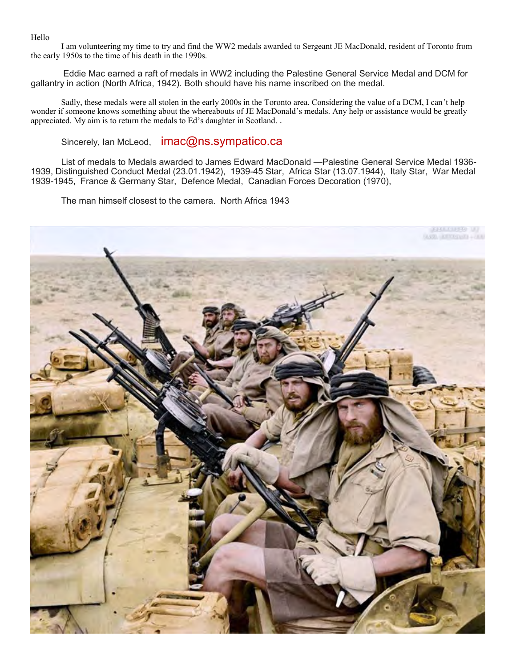Hello

I am volunteering my time to try and find the WW2 medals awarded to Sergeant JE MacDonald, resident of Toronto from the early 1950s to the time of his death in the 1990s.

Eddie Mac earned a raft of medals in WW2 including the Palestine General Service Medal and DCM for gallantry in action (North Africa, 1942). Both should have his name inscribed on the medal.

Sadly, these medals were all stolen in the early 2000s in the Toronto area. Considering the value of a DCM, I can't help wonder if someone knows something about the whereabouts of JE MacDonald's medals. Any help or assistance would be greatly appreciated. My aim is to return the medals to Ed's daughter in Scotland. .

Sincerely, Ian McLeod, imac@ns.sympatico.ca

List of medals to Medals awarded to James Edward MacDonald —Palestine General Service Medal 1936- 1939, Distinguished Conduct Medal (23.01.1942), 1939-45 Star, Africa Star (13.07.1944), Italy Star, War Medal 1939-1945, France & Germany Star, Defence Medal, Canadian Forces Decoration (1970),

The man himself closest to the camera. North Africa 1943